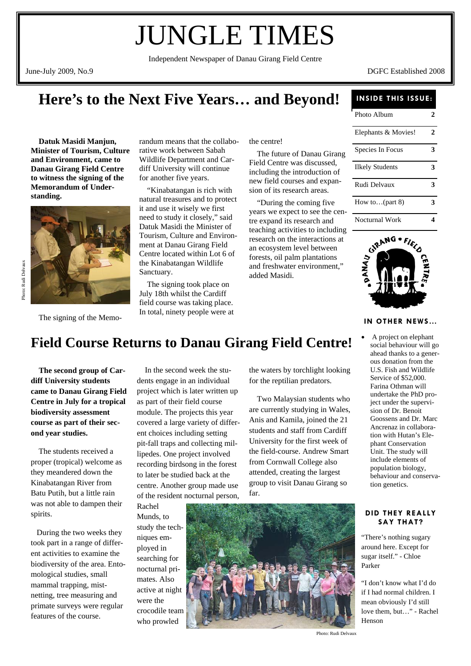# JUNGLE TIMES

Independent Newspaper of Danau Girang Field Centre

June-July 2009, No.9 DGFC Established 2008

# **Here's to the Next Five Years… and Beyond!**

 **Datuk Masidi Manjun, Minister of Tourism, Culture and Environment, came to Danau Girang Field Centre to witness the signing of the Memorandum of Understanding.** 



The signing of the Memo-

randum means that the collaborative work between Sabah Wildlife Department and Cardiff University will continue for another five years.

 "Kinabatangan is rich with natural treasures and to protect it and use it wisely we first need to study it closely," said Datuk Masidi the Minister of Tourism, Culture and Environment at Danau Girang Field Centre located within Lot 6 of the Kinabatangan Wildlife Sanctuary.

 The signing took place on July 18th whilst the Cardiff field course was taking place. In total, ninety people were at the centre!

 The future of Danau Girang Field Centre was discussed, including the introduction of new field courses and expansion of its research areas.

 "During the coming five years we expect to see the centre expand its research and teaching activities to including research on the interactions at an ecosystem level between forests, oil palm plantations and freshwater environment," added Masidi.

### **INSIDE THIS ISSUE:**

| Photo Album               | 2 |
|---------------------------|---|
| Elephants & Movies!       | 2 |
| Species In Focus          | 3 |
| <b>Ilkely Students</b>    | 3 |
| Rudi Delvaux              | 3 |
| How to $(\text{part } 8)$ | 3 |
| Nocturnal Work            |   |



#### **IN OTHER NEWS…**

ahead thanks to a generous donation from the U.S. Fish and Wildlife Service of \$52,000. Farina Othman will undertake the PhD project under the supervision of Dr. Benoit Goossens and Dr. Marc Ancrenaz in collaboration with Hutan's Elephant Conservation Unit. The study will include elements of population biology, behaviour and conserva-

tion genetics.

**DID THEY REALLY SAY THAT?** 

"There's nothing sugary around here. Except for sugar itself." - Chloe

"I don't know what I'd do if I had normal children. I mean obviously I'd still love them, but…" - Rachel

Parker

Henson

#### A project on elephant social behaviour will go **Field Course Returns to Danau Girang Field Centre!**

 **The second group of Cardiff University students came to Danau Girang Field Centre in July for a tropical biodiversity assessment course as part of their second year studies.** 

 The students received a proper (tropical) welcome as they meandered down the Kinabatangan River from Batu Putih, but a little rain was not able to dampen their spirits.

 During the two weeks they took part in a range of different activities to examine the biodiversity of the area. Entomological studies, small mammal trapping, mistnetting, tree measuring and primate surveys were regular features of the course.

 In the second week the students engage in an individual project which is later written up as part of their field course module. The projects this year covered a large variety of different choices including setting pit-fall traps and collecting millipedes. One project involved recording birdsong in the forest to later be studied back at the centre. Another group made use of the resident nocturnal person, Rachel

Munds, to study the tech-

niques employed in searching for nocturnal primates. Also active at night were the crocodile team who prowled

the waters by torchlight looking for the reptilian predators.

 Two Malaysian students who are currently studying in Wales, Anis and Kamila, joined the 21 students and staff from Cardiff University for the first week of the field-course. Andrew Smart from Cornwall College also attended, creating the largest group to visit Danau Girang so far.



Photo: Rudi Delvaux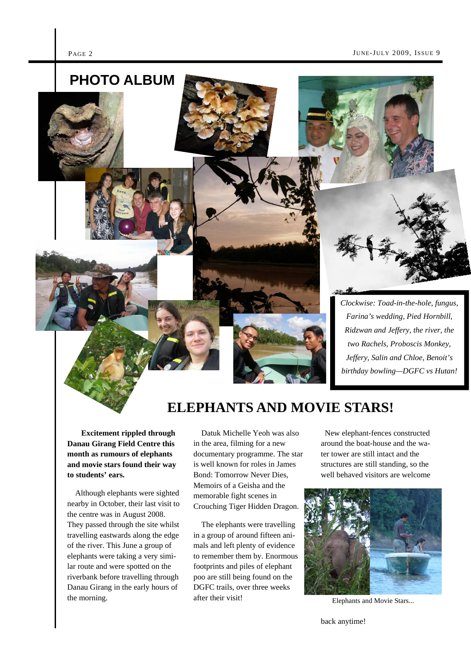

**ELEPHANTS AND MOVIE STARS!** 

 **Excitement rippled through Danau Girang Field Centre this month as rumours of elephants and movie stars found their way to students' ears.** 

 Although elephants were sighted nearby in October, their last visit to the centre was in August 2008. They passed through the site whilst travelling eastwards along the edge of the river. This June a group of elephants were taking a very similar route and were spotted on the riverbank before travelling through Danau Girang in the early hours of the morning.

 Datuk Michelle Yeoh was also in the area, filming for a new documentary programme. The star is well known for roles in James Bond: Tomorrow Never Dies, Memoirs of a Geisha and the memorable fight scenes in Crouching Tiger Hidden Dragon.

 The elephants were travelling in a group of around fifteen animals and left plenty of evidence to remember them by. Enormous footprints and piles of elephant poo are still being found on the DGFC trails, over three weeks after their visit!

 New elephant-fences constructed around the boat-house and the water tower are still intact and the structures are still standing, so the well behaved visitors are welcome

*birthday bowling—DGFC vs Hutan!* 



Elephants and Movie Stars...

back anytime!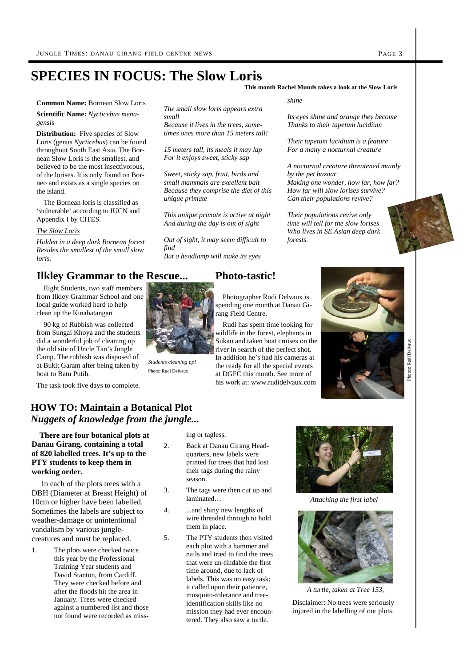## **SPECIES IN FOCUS: The Slow Loris**

**This month Rachel Munds takes a look at the Slow Loris** 

**Common Name:** Bornean Slow Loris

**Scientific Name:** *Nycticebus menagensis* 

**Distribution:** Five species of Slow Loris (genus *Nycticebus*) can be found throughout South East Asia. The Bornean Slow Loris is the smallest, and believed to be the most insectivorous, of the lorises. It is only found on Borneo and exists as a single species on the island.

 The Bornean loris is classified as 'vulnerable' according to IUCN and Appendix I by CITES.

#### *The Slow Loris*

*Hidden in a deep dark Bornean forest Resides the smallest of the small slow loris.* 

## **Ilkley Grammar to the Rescue...**

 Eight Students, two staff members from Ilkley Grammar School and one local guide worked hard to help clean up the Kinabatangan.

 90 kg of Rubbish was collected from Sungai Khoya and the students did a wonderful job of cleaning up the old site of Uncle Tan's Jungle Camp. The rubbish was disposed of at Bukit Garam after being taken by boat to Batu Putih.

The task took five days to complete.

## **HOW TO: Maintain a Botanical Plot**  *Nuggets of knowledge from the jungle...*

 **There are four botanical plots at Danau Girang, containing a total of 820 labelled trees. It's up to the PTY students to keep them in working order.** 

 In each of the plots trees with a DBH (Diameter at Breast Height) of 10cm or higher have been labelled. Sometimes the labels are subject to weather-damage or unintentional vandalism by various junglecreatures and must be replaced.

1. The plots were checked twice this year by the Professional Training Year students and David Stanton, from Cardiff. They were checked before and after the floods hit the area in January. Trees were checked against a numbered list and those not found were recorded as miss*small Because it lives in the trees, sometimes ones more than 15 meters tall!* 

*The small slow loris appears extra* 

*15 meters tall, its meals it may lap For it enjoys sweet, sticky sap* 

*Sweet, sticky sap, fruit, birds and small mammals are excellent bait Because they comprise the diet of this unique primate* 

*This unique primate is active at night And during the day is out of sight* 

*Out of sight, it may seem difficult to find* 

*But a headlamp will make its eyes* 

ing or tagless. 2. Back at Danau Girang Headquarters, new labels were printed for trees that had lost their tags during the rainy

3. The tags were then cut up and

5. The PTY students then visited each plot with a hammer and nails and tried to find the trees that were un-findable the first time around, due to lack of labels. This was no easy task; it called upon their patience, mosquito-tolerance and treeidentification skills like no mission they had ever encountered. They also saw a turtle.

wire threaded through to hold

season.

laminated… 4. ...and shiny new lengths of

them in place.

## **Photo-tastic!**



*Students cleaning up!*  Photo: Rudi Delvaux

 Photographer Rudi Delvaux is spending one month at Danau Girang Field Centre.

 Rudi has spent time looking for wildlife in the forest, elephants in Sukau and taken boat cruises on the river in search of the perfect shot. In addition he's had his cameras at the ready for all the special events at DGFC this month. See more of his work at: www.rudidelvaux.com

*shine* 

*Its eyes shine and orange they become Thanks to their tapetum lucidium* 

*Their tapetum lucidium is a feature For a many a nocturnal creature* 

*A nocturnal creature threatened mainly by the pet bazaar Making one wonder, how far, how far? How far will slow lorises survive? Can their populations revive?* 

*Their populations revive only time will tell for the slow lorises Who lives in SE Asian deep dark forests.* 



Photos: Rudi Delvaux

Photos:

aux Rudi Delv



*Attaching the first label* 



*A turtle, taken at Tree 153,* 

Disclaimer: No trees were seriously injured in the labelling of our plots.